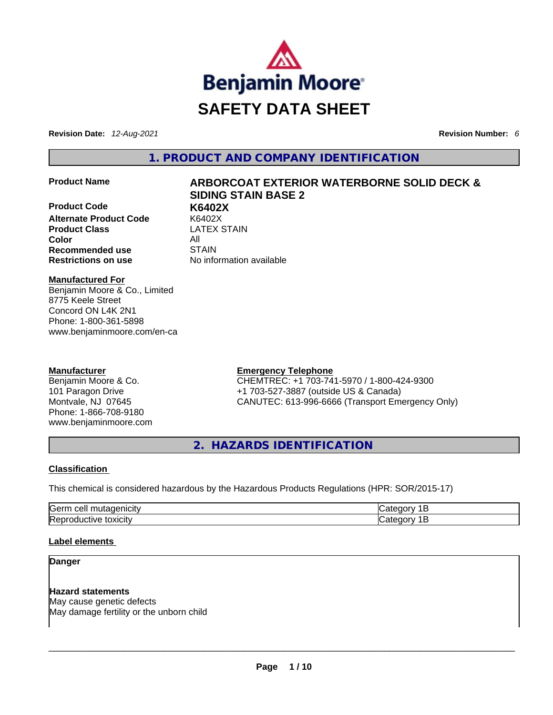

**Revision Date:** *12-Aug-2021* **Revision Number:** *6*

**1. PRODUCT AND COMPANY IDENTIFICATION** 

**Product Code K6402X Alternate Product Code** K6402X **Product Class Color** All **Recommended use** STAIN **Restrictions on use** No information available

# **Product Name ARBORCOAT EXTERIOR WATERBORNE SOLID DECK & SIDING STAIN BASE 2**

**Manufactured For** Benjamin Moore & Co., Limited 8775 Keele Street Concord ON L4K 2N1 Phone: 1-800-361-5898 www.benjaminmoore.com/en-ca

#### **Manufacturer**

Benjamin Moore & Co. 101 Paragon Drive Montvale, NJ 07645 Phone: 1-866-708-9180 www.benjaminmoore.com

# **Emergency Telephone**

CHEMTREC: +1 703-741-5970 / 1-800-424-9300 +1 703-527-3887 (outside US & Canada) CANUTEC: 613-996-6666 (Transport Emergency Only)

**2. HAZARDS IDENTIFICATION** 

#### **Classification**

This chemical is considered hazardous by the Hazardous Products Regulations (HPR: SOR/2015-17)

| Germ<br>$\cdots$<br>cell<br>unicity ∍<br>murade |                   |
|-------------------------------------------------|-------------------|
| Repr<br>toxicity<br>roquctive                   | ור<br>ᆌ<br>-<br>ີ |

#### **Label elements**

**Danger** 

**Hazard statements** May cause genetic defects May damage fertility or the unborn child \_\_\_\_\_\_\_\_\_\_\_\_\_\_\_\_\_\_\_\_\_\_\_\_\_\_\_\_\_\_\_\_\_\_\_\_\_\_\_\_\_\_\_\_\_\_\_\_\_\_\_\_\_\_\_\_\_\_\_\_\_\_\_\_\_\_\_\_\_\_\_\_\_\_\_\_\_\_\_\_\_\_\_\_\_\_\_\_\_\_\_\_\_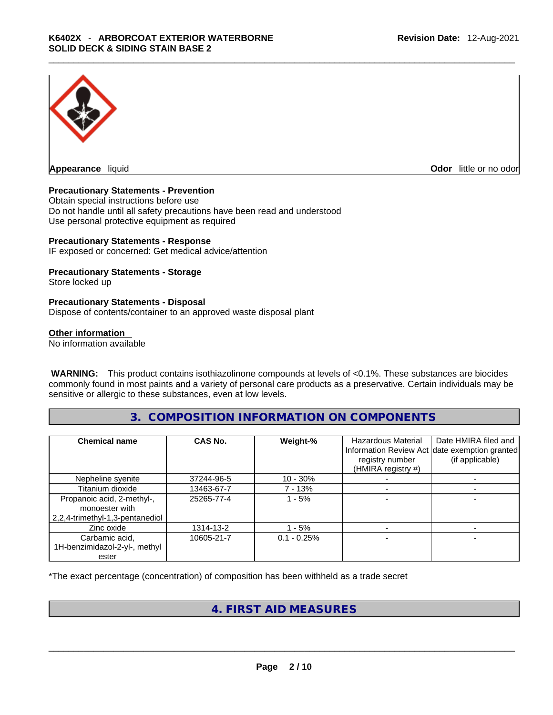

**Appearance** liquid **Odor 11** and **Odor 11** and **Odor 11** and **Odor 11** and **Odor 11** and **Odor** 11 and **Odor** 11 and **Odor** 11 and **Odor** 11 and **Odor** 11 and **Odor** 11 and **Odor** 11 and **Odor** 11 and **Odor** 11 and **Odor** 

#### **Precautionary Statements - Prevention**

Obtain special instructions before use Do not handle until all safety precautions have been read and understood Use personal protective equipment as required

#### **Precautionary Statements - Response**

IF exposed or concerned: Get medical advice/attention

#### **Precautionary Statements - Storage**

Store locked up

#### **Precautionary Statements - Disposal**

Dispose of contents/container to an approved waste disposal plant

#### **Other information**

No information available

 **WARNING:** This product contains isothiazolinone compounds at levels of <0.1%. These substances are biocides commonly found in most paints and a variety of personal care products as a preservative. Certain individuals may be sensitive or allergic to these substances, even at low levels.

### **3. COMPOSITION INFORMATION ON COMPONENTS**

| <b>Chemical name</b>                                                              | CAS No.    | Weight-%       | Hazardous Material<br>registry number<br>(HMIRA registry #) | Date HMIRA filed and<br>Information Review Act date exemption granted<br>(if applicable) |
|-----------------------------------------------------------------------------------|------------|----------------|-------------------------------------------------------------|------------------------------------------------------------------------------------------|
| Nepheline syenite                                                                 | 37244-96-5 | $10 - 30%$     |                                                             |                                                                                          |
| Titanium dioxide                                                                  | 13463-67-7 | 7 - 13%        |                                                             |                                                                                          |
| Propanoic acid, 2-methyl-,<br>monoester with<br>  2,2,4-trimethyl-1,3-pentanediol | 25265-77-4 | 1 - 5%         |                                                             |                                                                                          |
| Zinc oxide                                                                        | 1314-13-2  | $-5%$          |                                                             |                                                                                          |
| Carbamic acid,<br>1H-benzimidazol-2-yl-, methyl<br>ester                          | 10605-21-7 | $0.1 - 0.25\%$ |                                                             |                                                                                          |

\*The exact percentage (concentration) of composition has been withheld as a trade secret

## **4. FIRST AID MEASURES**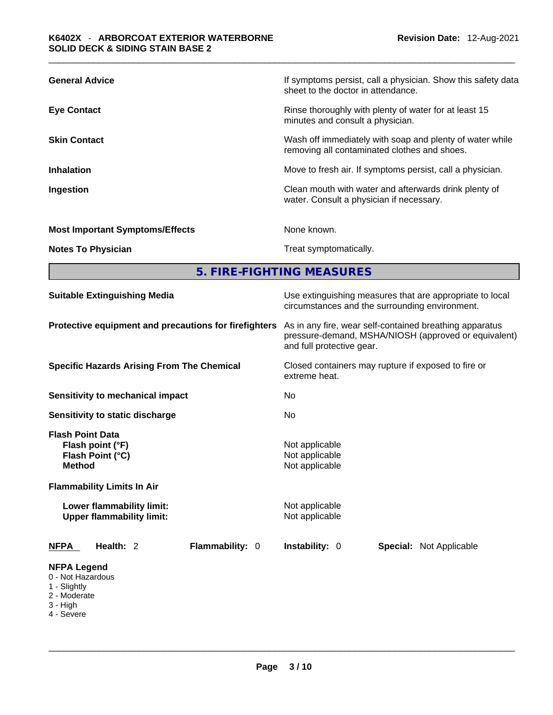|                                        | 5. FIRE-FIGHTING MEASURES                                                                                |
|----------------------------------------|----------------------------------------------------------------------------------------------------------|
| <b>Notes To Physician</b>              | Treat symptomatically.                                                                                   |
| <b>Most Important Symptoms/Effects</b> | None known.                                                                                              |
| Ingestion                              | Clean mouth with water and afterwards drink plenty of<br>water. Consult a physician if necessary.        |
| <b>Inhalation</b>                      | Move to fresh air. If symptoms persist, call a physician.                                                |
| <b>Skin Contact</b>                    | Wash off immediately with soap and plenty of water while<br>removing all contaminated clothes and shoes. |
| <b>Eye Contact</b>                     | Rinse thoroughly with plenty of water for at least 15<br>minutes and consult a physician.                |
| <b>General Advice</b>                  | If symptoms persist, call a physician. Show this safety data<br>sheet to the doctor in attendance.       |
|                                        |                                                                                                          |

| <b>Suitable Extinguishing Media</b>                                                                                                                                                    | Use extinguishing measures that are appropriate to local<br>circumstances and the surrounding environment.                                   |  |  |
|----------------------------------------------------------------------------------------------------------------------------------------------------------------------------------------|----------------------------------------------------------------------------------------------------------------------------------------------|--|--|
| Protective equipment and precautions for firefighters                                                                                                                                  | As in any fire, wear self-contained breathing apparatus<br>pressure-demand, MSHA/NIOSH (approved or equivalent)<br>and full protective gear. |  |  |
| <b>Specific Hazards Arising From The Chemical</b>                                                                                                                                      | Closed containers may rupture if exposed to fire or<br>extreme heat.                                                                         |  |  |
| Sensitivity to mechanical impact                                                                                                                                                       | No                                                                                                                                           |  |  |
| Sensitivity to static discharge                                                                                                                                                        | No.                                                                                                                                          |  |  |
| <b>Flash Point Data</b><br>Flash point (°F)<br>Flash Point (°C)<br><b>Method</b><br><b>Flammability Limits In Air</b><br>Lower flammability limit:<br><b>Upper flammability limit:</b> | Not applicable<br>Not applicable<br>Not applicable<br>Not applicable<br>Not applicable                                                       |  |  |
|                                                                                                                                                                                        |                                                                                                                                              |  |  |
| Health: 2<br>Flammability: 0<br><b>NFPA</b>                                                                                                                                            | <b>Instability: 0</b><br><b>Special: Not Applicable</b>                                                                                      |  |  |
| <b>NFPA Legend</b><br>0 - Not Hazardous<br>1 - Slightly<br>2 - Moderate<br>3 - High<br>4 - Severe                                                                                      |                                                                                                                                              |  |  |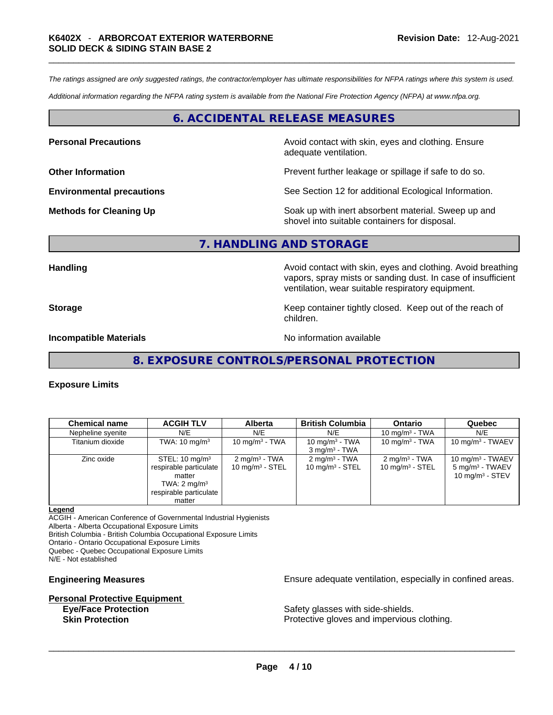*The ratings assigned are only suggested ratings, the contractor/employer has ultimate responsibilities for NFPA ratings where this system is used.* 

*Additional information regarding the NFPA rating system is available from the National Fire Protection Agency (NFPA) at www.nfpa.org.* 

#### **6. ACCIDENTAL RELEASE MEASURES**

**Personal Precautions Avoid contact with skin, eyes and clothing. Ensure Personal Precautions** adequate ventilation.

**Other Information Department Information Department Information Prevent further leakage or spillage if safe to do so.** 

**Environmental precautions** See Section 12 for additional Ecological Information.

**Methods for Cleaning Up Example 20 Soak** up with inert absorbent material. Sweep up and shovel into suitable containers for disposal.

#### **7. HANDLING AND STORAGE**

**Handling Handling Avoid contact with skin, eyes and clothing. Avoid breathing** vapors, spray mists or sanding dust. In case of insufficient ventilation, wear suitable respiratory equipment.

**Storage Storage Keep container tightly closed. Keep out of the reach of <b>Storage Keep** out of the reach of children.

**Incompatible Materials Incompatible Materials No information available** 

**8. EXPOSURE CONTROLS/PERSONAL PROTECTION** 

#### **Exposure Limits**

| <b>Chemical name</b> | <b>ACGIH TLV</b>                                                                                                             | <b>Alberta</b>                                         | <b>British Columbia</b>                          | <b>Ontario</b>                                          | Quebec                                                                        |
|----------------------|------------------------------------------------------------------------------------------------------------------------------|--------------------------------------------------------|--------------------------------------------------|---------------------------------------------------------|-------------------------------------------------------------------------------|
| Nepheline syenite    | N/E                                                                                                                          | N/E                                                    | N/E                                              | 10 mg/m $3$ - TWA                                       | N/E                                                                           |
| Titanium dioxide     | TWA: $10 \text{ mg/m}^3$                                                                                                     | 10 mg/m $3$ - TWA                                      | 10 mg/m $3$ - TWA<br>$3$ mg/m <sup>3</sup> - TWA | 10 mg/m $3$ - TWA                                       | $10 \text{ mg/m}$ <sup>3</sup> - TWAEV                                        |
| Zinc oxide           | STEL: $10 \text{ mg/m}^3$<br>respirable particulate<br>matter<br>TWA: $2 \text{ mg/m}^3$<br>respirable particulate<br>matter | $2 \text{ mq/m}^3$ - TWA<br>$10 \text{ mg/m}^3$ - STEL | $2 \text{ mg/m}^3$ - TWA<br>10 mg/m $3 -$ STEL   | $2 \text{ mq/m}^3$ - TWA<br>10 mg/m <sup>3</sup> - STEL | $10 \text{ mg/m}$ - TWAEV<br>$5 \text{ mg/m}^3$ - TWAEV<br>10 mg/m $3 -$ STEV |

#### **Legend**

ACGIH - American Conference of Governmental Industrial Hygienists Alberta - Alberta Occupational Exposure Limits

British Columbia - British Columbia Occupational Exposure Limits

Ontario - Ontario Occupational Exposure Limits

Quebec - Quebec Occupational Exposure Limits

N/E - Not established

# **Personal Protective Equipment**

**Engineering Measures Ensure** Ensure adequate ventilation, especially in confined areas.

**Eye/Face Protection Safety glasses with side-shields. Skin Protection Protection Protective gloves and impervious clothing.**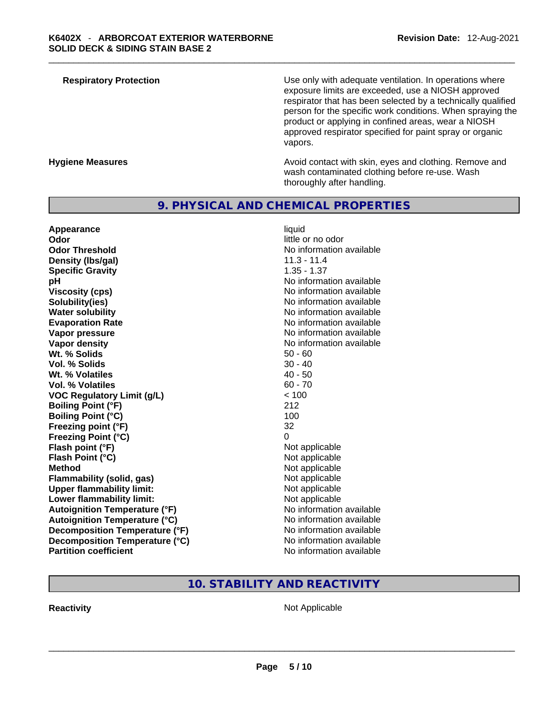**Respiratory Protection Exercise 2018** Use only with adequate ventilation. In operations where exposure limits are exceeded, use a NIOSH approved respirator that has been selected by a technically qualified person for the specific work conditions. When spraying the product or applying in confined areas, wear a NIOSH approved respirator specified for paint spray or organic vapors.

Hygiene Measures **Audit Contact With Skin, eyes and clothing. Remove and Hygiene Measures** and clothing. Remove and wash contaminated clothing before re-use. Wash thoroughly after handling.

# **9. PHYSICAL AND CHEMICAL PROPERTIES**

| Appearance                           | liquid                   |  |  |
|--------------------------------------|--------------------------|--|--|
| Odor                                 | little or no odor        |  |  |
| <b>Odor Threshold</b>                | No information available |  |  |
| Density (Ibs/gal)                    | $11.3 - 11.4$            |  |  |
| <b>Specific Gravity</b>              | $1.35 - 1.37$            |  |  |
| рH                                   | No information available |  |  |
| <b>Viscosity (cps)</b>               | No information available |  |  |
| Solubility(ies)                      | No information available |  |  |
| <b>Water solubility</b>              | No information available |  |  |
| <b>Evaporation Rate</b>              | No information available |  |  |
| Vapor pressure                       | No information available |  |  |
| Vapor density                        | No information available |  |  |
| Wt. % Solids                         | $50 - 60$                |  |  |
| Vol. % Solids                        | $30 - 40$                |  |  |
| Wt. % Volatiles                      | $40 - 50$                |  |  |
| Vol. % Volatiles                     | $60 - 70$                |  |  |
| <b>VOC Regulatory Limit (g/L)</b>    | < 100                    |  |  |
| <b>Boiling Point (°F)</b>            | 212                      |  |  |
| <b>Boiling Point (°C)</b>            | 100                      |  |  |
| Freezing point (°F)                  | 32                       |  |  |
| <b>Freezing Point (°C)</b>           | 0                        |  |  |
| Flash point (°F)                     | Not applicable           |  |  |
| Flash Point (°C)                     | Not applicable           |  |  |
| <b>Method</b>                        | Not applicable           |  |  |
| <b>Flammability (solid, gas)</b>     | Not applicable           |  |  |
| <b>Upper flammability limit:</b>     | Not applicable           |  |  |
| Lower flammability limit:            | Not applicable           |  |  |
| <b>Autoignition Temperature (°F)</b> | No information available |  |  |
| <b>Autoignition Temperature (°C)</b> | No information available |  |  |
| Decomposition Temperature (°F)       | No information available |  |  |
| Decomposition Temperature (°C)       | No information available |  |  |
| <b>Partition coefficient</b>         | No information available |  |  |

## **10. STABILITY AND REACTIVITY**

**Reactivity** Not Applicable \_\_\_\_\_\_\_\_\_\_\_\_\_\_\_\_\_\_\_\_\_\_\_\_\_\_\_\_\_\_\_\_\_\_\_\_\_\_\_\_\_\_\_\_\_\_\_\_\_\_\_\_\_\_\_\_\_\_\_\_\_\_\_\_\_\_\_\_\_\_\_\_\_\_\_\_\_\_\_\_\_\_\_\_\_\_\_\_\_\_\_\_\_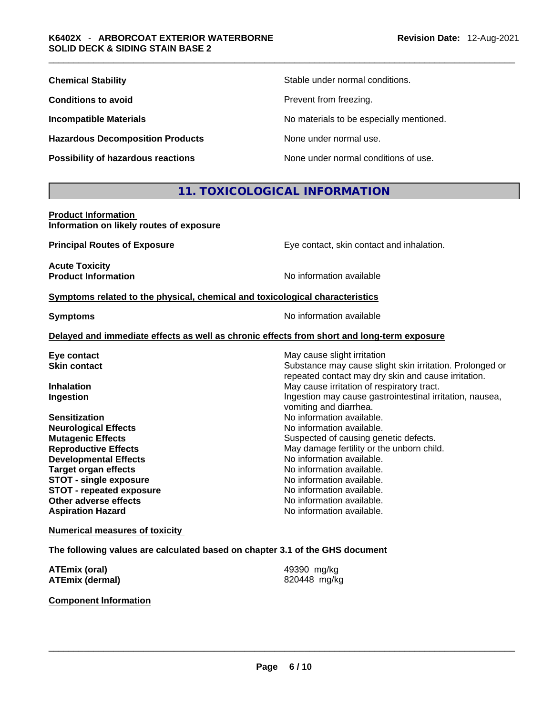| <b>Chemical Stability</b>                 | Stable under normal conditions.          |
|-------------------------------------------|------------------------------------------|
| <b>Conditions to avoid</b>                | Prevent from freezing.                   |
| <b>Incompatible Materials</b>             | No materials to be especially mentioned. |
| <b>Hazardous Decomposition Products</b>   | None under normal use.                   |
| <b>Possibility of hazardous reactions</b> | None under normal conditions of use.     |

## **11. TOXICOLOGICAL INFORMATION**

| <b>Product Information</b>               |  |
|------------------------------------------|--|
| Information on likely routes of exposure |  |

**Principal Routes of Exposure Exposure** Eye contact, skin contact and inhalation. **Acute Toxicity<br>Product Information No information available Symptoms related to the physical, chemical and toxicological characteristics Symptoms Symptoms No information available** 

#### **Delayed and immediate effects as well as chronic effects from short and long-term exposure**

| Eye contact                     | May cause slight irritation                                                                                     |  |  |
|---------------------------------|-----------------------------------------------------------------------------------------------------------------|--|--|
| <b>Skin contact</b>             | Substance may cause slight skin irritation. Prolonged or<br>repeated contact may dry skin and cause irritation. |  |  |
| <b>Inhalation</b>               | May cause irritation of respiratory tract.                                                                      |  |  |
| Ingestion                       | Ingestion may cause gastrointestinal irritation, nausea,<br>vomiting and diarrhea.                              |  |  |
| <b>Sensitization</b>            | No information available.                                                                                       |  |  |
| <b>Neurological Effects</b>     | No information available.                                                                                       |  |  |
| <b>Mutagenic Effects</b>        | Suspected of causing genetic defects.                                                                           |  |  |
| <b>Reproductive Effects</b>     | May damage fertility or the unborn child.                                                                       |  |  |
| <b>Developmental Effects</b>    | No information available.                                                                                       |  |  |
| <b>Target organ effects</b>     | No information available.                                                                                       |  |  |
| <b>STOT - single exposure</b>   | No information available.                                                                                       |  |  |
| <b>STOT - repeated exposure</b> | No information available.                                                                                       |  |  |
| Other adverse effects           | No information available.                                                                                       |  |  |
| <b>Aspiration Hazard</b>        | No information available.                                                                                       |  |  |
|                                 |                                                                                                                 |  |  |

#### **Numerical measures of toxicity**

#### **The following values are calculated based on chapter 3.1 of the GHS document**

| <b>ATEmix (oral)</b>   | 49390 mg/kg  |
|------------------------|--------------|
| <b>ATEmix (dermal)</b> | 820448 mg/kg |

#### **Component Information**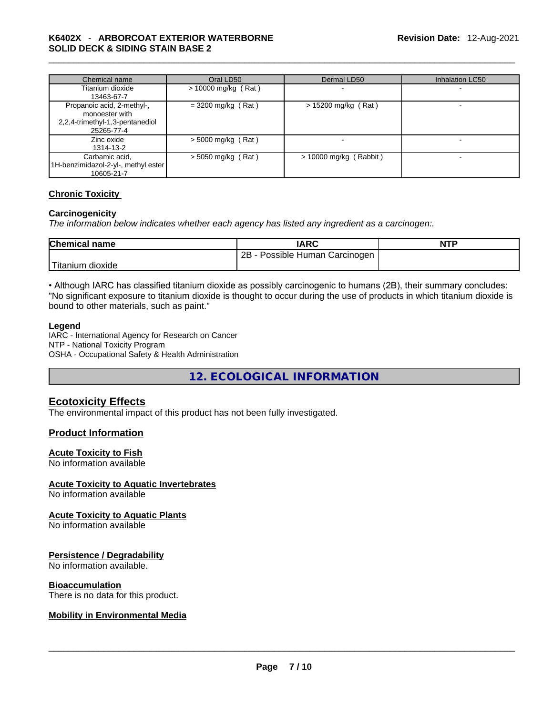#### \_\_\_\_\_\_\_\_\_\_\_\_\_\_\_\_\_\_\_\_\_\_\_\_\_\_\_\_\_\_\_\_\_\_\_\_\_\_\_\_\_\_\_\_\_\_\_\_\_\_\_\_\_\_\_\_\_\_\_\_\_\_\_\_\_\_\_\_\_\_\_\_\_\_\_\_\_\_\_\_\_\_\_\_\_\_\_\_\_\_\_\_\_ **K6402X** - **ARBORCOAT EXTERIOR WATERBORNE SOLID DECK & SIDING STAIN BASE 2**

| Chemical name                                                                                 | Oral LD50             | Dermal LD50              | <b>Inhalation LC50</b> |
|-----------------------------------------------------------------------------------------------|-----------------------|--------------------------|------------------------|
| Titanium dioxide<br>13463-67-7                                                                | $> 10000$ mg/kg (Rat) |                          |                        |
| Propanoic acid, 2-methyl-,<br>monoester with<br>2,2,4-trimethyl-1,3-pentanediol<br>25265-77-4 | $=$ 3200 mg/kg (Rat)  | $> 15200$ mg/kg (Rat)    |                        |
| Zinc oxide<br>1314-13-2                                                                       | $>$ 5000 mg/kg (Rat)  |                          |                        |
| Carbamic acid,<br>1H-benzimidazol-2-yl-, methyl ester<br>10605-21-7                           | $>$ 5050 mg/kg (Rat)  | $> 10000$ mg/kg (Rabbit) |                        |

#### **Chronic Toxicity**

#### **Carcinogenicity**

*The information below indicates whether each agency has listed any ingredient as a carcinogen:.* 

| <b>Chemical name</b>          | IARC                                | <b>NTP</b> |
|-------------------------------|-------------------------------------|------------|
|                               | $2B -$<br>Possible Human Carcinogen |            |
| <sup>I</sup> Titanium dioxide |                                     |            |

• Although IARC has classified titanium dioxide as possibly carcinogenic to humans (2B), their summary concludes: "No significant exposure to titanium dioxide is thought to occur during the use of products in which titanium dioxide is bound to other materials, such as paint."

#### **Legend**

IARC - International Agency for Research on Cancer NTP - National Toxicity Program OSHA - Occupational Safety & Health Administration

**12. ECOLOGICAL INFORMATION** 

### **Ecotoxicity Effects**

The environmental impact of this product has not been fully investigated.

#### **Product Information**

#### **Acute Toxicity to Fish**

No information available

#### **Acute Toxicity to Aquatic Invertebrates**

No information available

#### **Acute Toxicity to Aquatic Plants**

No information available

#### **Persistence / Degradability**

No information available.

#### **Bioaccumulation**

# There is no data for this product. \_\_\_\_\_\_\_\_\_\_\_\_\_\_\_\_\_\_\_\_\_\_\_\_\_\_\_\_\_\_\_\_\_\_\_\_\_\_\_\_\_\_\_\_\_\_\_\_\_\_\_\_\_\_\_\_\_\_\_\_\_\_\_\_\_\_\_\_\_\_\_\_\_\_\_\_\_\_\_\_\_\_\_\_\_\_\_\_\_\_\_\_\_ **Mobility in Environmental Media**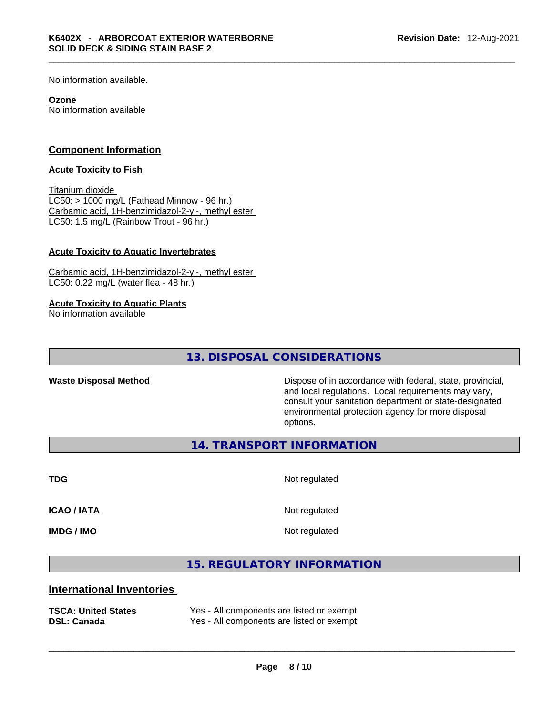No information available.

#### **Ozone**

No information available

#### **Component Information**

#### **Acute Toxicity to Fish**

Titanium dioxide  $LC50:$  > 1000 mg/L (Fathead Minnow - 96 hr.) Carbamic acid, 1H-benzimidazol-2-yl-, methyl ester LC50: 1.5 mg/L (Rainbow Trout - 96 hr.)

#### **Acute Toxicity to Aquatic Invertebrates**

Carbamic acid, 1H-benzimidazol-2-yl-, methyl ester LC50: 0.22 mg/L (water flea - 48 hr.)

#### **Acute Toxicity to Aquatic Plants**

No information available

**13. DISPOSAL CONSIDERATIONS** 

**Waste Disposal Method** Dispose of in accordance with federal, state, provincial, and local regulations. Local requirements may vary, consult your sanitation department or state-designated environmental protection agency for more disposal options.

**14. TRANSPORT INFORMATION** 

**TDG** Not regulated

**ICAO / IATA** Not regulated

**IMDG / IMO** Not regulated

**15. REGULATORY INFORMATION** 

#### **International Inventories**

| <b>TSCA: United States</b> | Yes - All components are listed or exempt. |
|----------------------------|--------------------------------------------|
| DSL: Canada                | Yes - All components are listed or exempt. |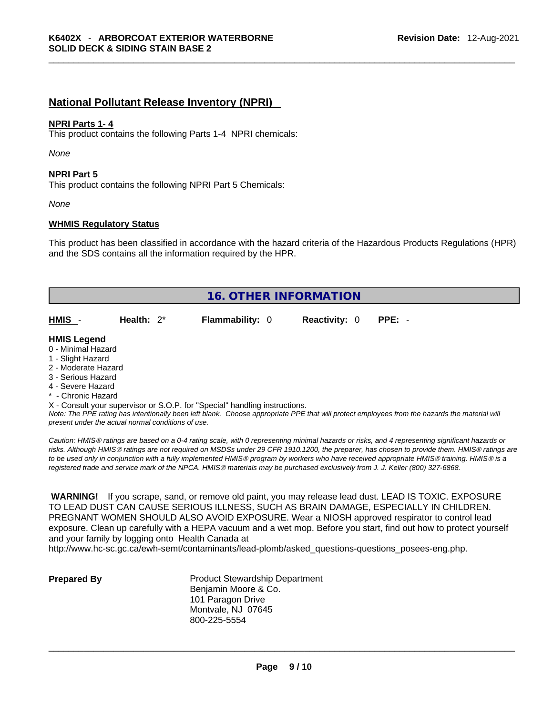## **National Pollutant Release Inventory (NPRI)**

#### **NPRI Parts 1- 4**

This product contains the following Parts 1-4 NPRI chemicals:

*None*

#### **NPRI Part 5**

This product contains the following NPRI Part 5 Chemicals:

*None*

#### **WHMIS Regulatory Status**

This product has been classified in accordance with the hazard criteria of the Hazardous Products Regulations (HPR) and the SDS contains all the information required by the HPR.

|                     |               | <b>16. OTHER INFORMATION</b>                                               |                      |          |  |
|---------------------|---------------|----------------------------------------------------------------------------|----------------------|----------|--|
|                     |               |                                                                            |                      |          |  |
| <b>HMIS</b>         | Health: $2^*$ | <b>Flammability: 0</b>                                                     | <b>Reactivity: 0</b> | $PPE: -$ |  |
| <b>HMIS Legend</b>  |               |                                                                            |                      |          |  |
| 0 - Minimal Hazard  |               |                                                                            |                      |          |  |
| 1 - Slight Hazard   |               |                                                                            |                      |          |  |
| 2 - Moderate Hazard |               |                                                                            |                      |          |  |
| 3 - Serious Hazard  |               |                                                                            |                      |          |  |
| 4 - Severe Hazard   |               |                                                                            |                      |          |  |
| * - Chronic Hazard  |               |                                                                            |                      |          |  |
|                     |               | X - Consult your supervisor or S.O.P. for "Special" handling instructions. |                      |          |  |
|                     |               |                                                                            |                      |          |  |

Note: The PPE rating has intentionally been left blank. Choose appropriate PPE that will protect employees from the hazards the material will *present under the actual normal conditions of use.* 

*Caution: HMISÒ ratings are based on a 0-4 rating scale, with 0 representing minimal hazards or risks, and 4 representing significant hazards or risks. Although HMISÒ ratings are not required on MSDSs under 29 CFR 1910.1200, the preparer, has chosen to provide them. HMISÒ ratings are to be used only in conjunction with a fully implemented HMISÒ program by workers who have received appropriate HMISÒ training. HMISÒ is a registered trade and service mark of the NPCA. HMISÒ materials may be purchased exclusively from J. J. Keller (800) 327-6868.* 

 **WARNING!** If you scrape, sand, or remove old paint, you may release lead dust. LEAD IS TOXIC. EXPOSURE TO LEAD DUST CAN CAUSE SERIOUS ILLNESS, SUCH AS BRAIN DAMAGE, ESPECIALLY IN CHILDREN. PREGNANT WOMEN SHOULD ALSO AVOID EXPOSURE.Wear a NIOSH approved respirator to control lead exposure. Clean up carefully with a HEPA vacuum and a wet mop. Before you start, find out how to protect yourself and your family by logging onto Health Canada at

http://www.hc-sc.gc.ca/ewh-semt/contaminants/lead-plomb/asked\_questions-questions\_posees-eng.php.

**Prepared By Product Stewardship Department** Benjamin Moore & Co. 101 Paragon Drive Montvale, NJ 07645 800-225-5554